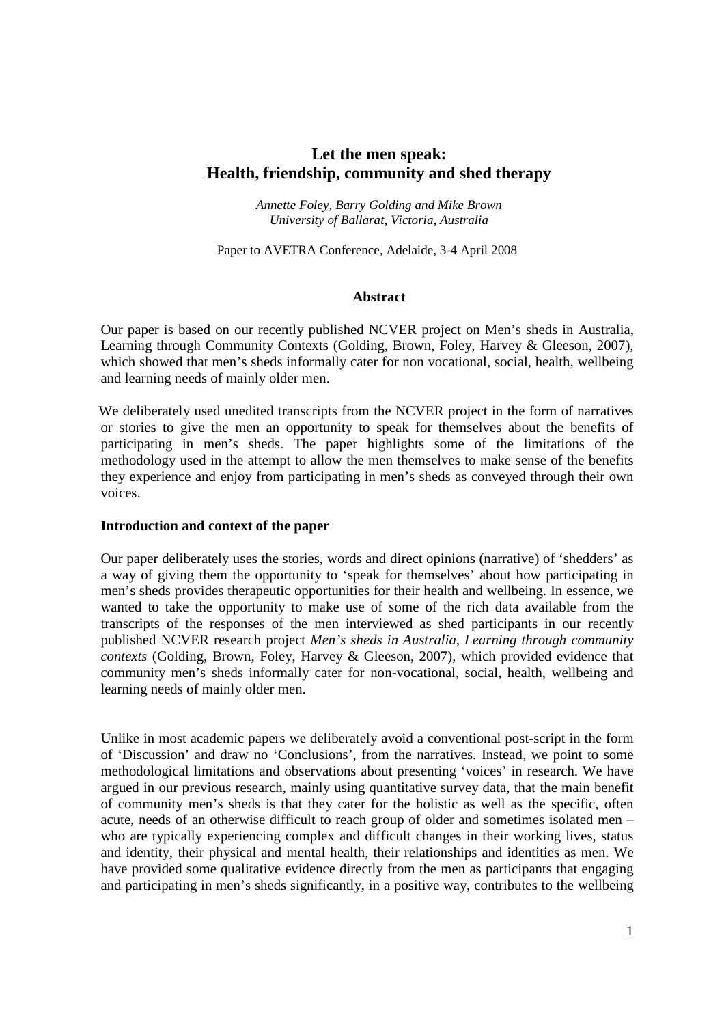# **Let the men speak: Health, friendship, community and shed therapy**

*Annette Foley, Barry Golding and Mike Brown University of Ballarat, Victoria, Australia* 

Paper to AVETRA Conference, Adelaide, 3-4 April 2008

#### **Abstract**

Our paper is based on our recently published NCVER project on Men's sheds in Australia, Learning through Community Contexts (Golding, Brown, Foley, Harvey & Gleeson, 2007), which showed that men's sheds informally cater for non vocational, social, health, wellbeing and learning needs of mainly older men.

We deliberately used unedited transcripts from the NCVER project in the form of narratives or stories to give the men an opportunity to speak for themselves about the benefits of participating in men's sheds. The paper highlights some of the limitations of the methodology used in the attempt to allow the men themselves to make sense of the benefits they experience and enjoy from participating in men's sheds as conveyed through their own voices.

#### **Introduction and context of the paper**

Our paper deliberately uses the stories, words and direct opinions (narrative) of 'shedders' as a way of giving them the opportunity to 'speak for themselves' about how participating in men's sheds provides therapeutic opportunities for their health and wellbeing. In essence, we wanted to take the opportunity to make use of some of the rich data available from the transcripts of the responses of the men interviewed as shed participants in our recently published NCVER research project *Men's sheds in Australia, Learning through community contexts* (Golding, Brown, Foley, Harvey & Gleeson, 2007), which provided evidence that community men's sheds informally cater for non-vocational, social, health, wellbeing and learning needs of mainly older men.

Unlike in most academic papers we deliberately avoid a conventional post-script in the form of 'Discussion' and draw no 'Conclusions', from the narratives. Instead, we point to some methodological limitations and observations about presenting 'voices' in research. We have argued in our previous research, mainly using quantitative survey data, that the main benefit of community men's sheds is that they cater for the holistic as well as the specific, often acute, needs of an otherwise difficult to reach group of older and sometimes isolated men – who are typically experiencing complex and difficult changes in their working lives, status and identity, their physical and mental health, their relationships and identities as men. We have provided some qualitative evidence directly from the men as participants that engaging and participating in men's sheds significantly, in a positive way, contributes to the wellbeing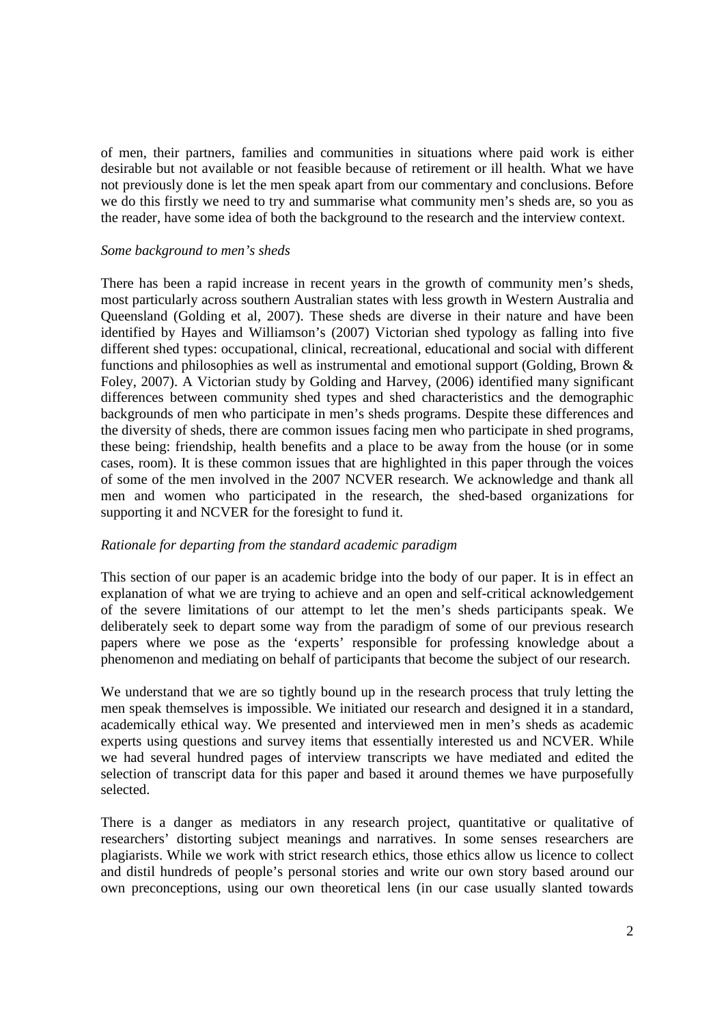of men, their partners, families and communities in situations where paid work is either desirable but not available or not feasible because of retirement or ill health. What we have not previously done is let the men speak apart from our commentary and conclusions. Before we do this firstly we need to try and summarise what community men's sheds are, so you as the reader, have some idea of both the background to the research and the interview context.

## *Some background to men's sheds*

There has been a rapid increase in recent years in the growth of community men's sheds, most particularly across southern Australian states with less growth in Western Australia and Queensland (Golding et al, 2007). These sheds are diverse in their nature and have been identified by Hayes and Williamson's (2007) Victorian shed typology as falling into five different shed types: occupational, clinical, recreational, educational and social with different functions and philosophies as well as instrumental and emotional support (Golding, Brown & Foley, 2007). A Victorian study by Golding and Harvey, (2006) identified many significant differences between community shed types and shed characteristics and the demographic backgrounds of men who participate in men's sheds programs. Despite these differences and the diversity of sheds, there are common issues facing men who participate in shed programs, these being: friendship, health benefits and a place to be away from the house (or in some cases, room). It is these common issues that are highlighted in this paper through the voices of some of the men involved in the 2007 NCVER research. We acknowledge and thank all men and women who participated in the research, the shed-based organizations for supporting it and NCVER for the foresight to fund it.

#### *Rationale for departing from the standard academic paradigm*

This section of our paper is an academic bridge into the body of our paper. It is in effect an explanation of what we are trying to achieve and an open and self-critical acknowledgement of the severe limitations of our attempt to let the men's sheds participants speak. We deliberately seek to depart some way from the paradigm of some of our previous research papers where we pose as the 'experts' responsible for professing knowledge about a phenomenon and mediating on behalf of participants that become the subject of our research.

We understand that we are so tightly bound up in the research process that truly letting the men speak themselves is impossible. We initiated our research and designed it in a standard, academically ethical way. We presented and interviewed men in men's sheds as academic experts using questions and survey items that essentially interested us and NCVER. While we had several hundred pages of interview transcripts we have mediated and edited the selection of transcript data for this paper and based it around themes we have purposefully selected.

There is a danger as mediators in any research project, quantitative or qualitative of researchers' distorting subject meanings and narratives. In some senses researchers are plagiarists. While we work with strict research ethics, those ethics allow us licence to collect and distil hundreds of people's personal stories and write our own story based around our own preconceptions, using our own theoretical lens (in our case usually slanted towards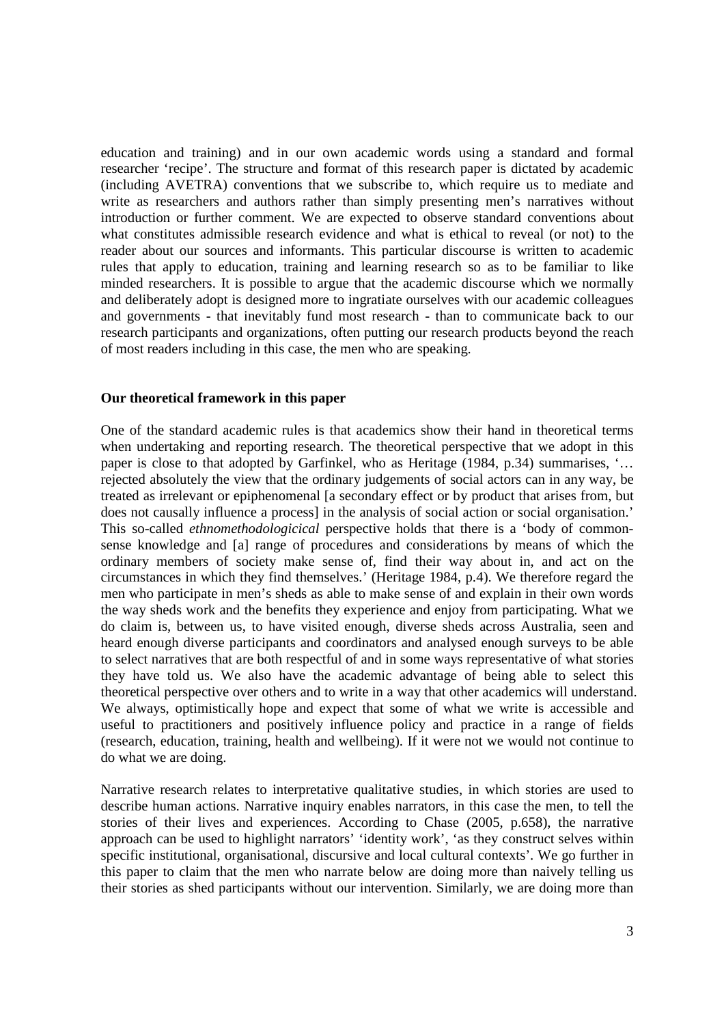education and training) and in our own academic words using a standard and formal researcher 'recipe'. The structure and format of this research paper is dictated by academic (including AVETRA) conventions that we subscribe to, which require us to mediate and write as researchers and authors rather than simply presenting men's narratives without introduction or further comment. We are expected to observe standard conventions about what constitutes admissible research evidence and what is ethical to reveal (or not) to the reader about our sources and informants. This particular discourse is written to academic rules that apply to education, training and learning research so as to be familiar to like minded researchers. It is possible to argue that the academic discourse which we normally and deliberately adopt is designed more to ingratiate ourselves with our academic colleagues and governments - that inevitably fund most research - than to communicate back to our research participants and organizations, often putting our research products beyond the reach of most readers including in this case, the men who are speaking.

# **Our theoretical framework in this paper**

One of the standard academic rules is that academics show their hand in theoretical terms when undertaking and reporting research. The theoretical perspective that we adopt in this paper is close to that adopted by Garfinkel, who as Heritage (1984, p.34) summarises, '… rejected absolutely the view that the ordinary judgements of social actors can in any way, be treated as irrelevant or epiphenomenal [a secondary effect or by product that arises from, but does not causally influence a process] in the analysis of social action or social organisation.' This so-called *ethnomethodologicical* perspective holds that there is a 'body of commonsense knowledge and [a] range of procedures and considerations by means of which the ordinary members of society make sense of, find their way about in, and act on the circumstances in which they find themselves.' (Heritage 1984, p.4). We therefore regard the men who participate in men's sheds as able to make sense of and explain in their own words the way sheds work and the benefits they experience and enjoy from participating. What we do claim is, between us, to have visited enough, diverse sheds across Australia, seen and heard enough diverse participants and coordinators and analysed enough surveys to be able to select narratives that are both respectful of and in some ways representative of what stories they have told us. We also have the academic advantage of being able to select this theoretical perspective over others and to write in a way that other academics will understand. We always, optimistically hope and expect that some of what we write is accessible and useful to practitioners and positively influence policy and practice in a range of fields (research, education, training, health and wellbeing). If it were not we would not continue to do what we are doing.

Narrative research relates to interpretative qualitative studies, in which stories are used to describe human actions. Narrative inquiry enables narrators, in this case the men, to tell the stories of their lives and experiences. According to Chase (2005, p.658), the narrative approach can be used to highlight narrators' 'identity work', 'as they construct selves within specific institutional, organisational, discursive and local cultural contexts'. We go further in this paper to claim that the men who narrate below are doing more than naively telling us their stories as shed participants without our intervention. Similarly, we are doing more than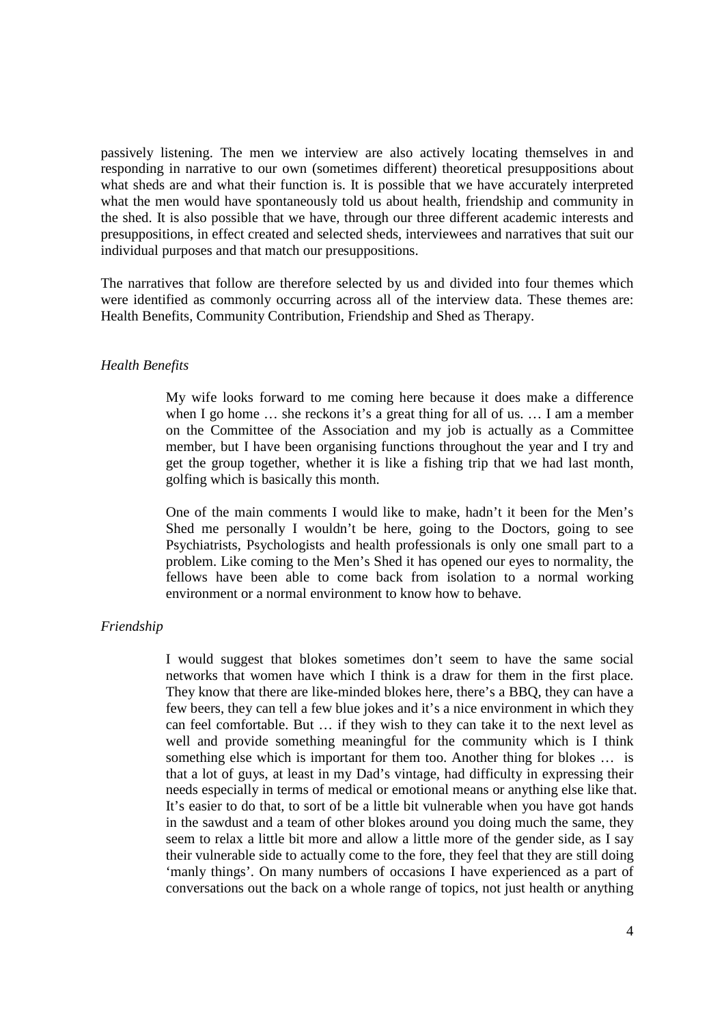passively listening. The men we interview are also actively locating themselves in and responding in narrative to our own (sometimes different) theoretical presuppositions about what sheds are and what their function is. It is possible that we have accurately interpreted what the men would have spontaneously told us about health, friendship and community in the shed. It is also possible that we have, through our three different academic interests and presuppositions, in effect created and selected sheds, interviewees and narratives that suit our individual purposes and that match our presuppositions.

The narratives that follow are therefore selected by us and divided into four themes which were identified as commonly occurring across all of the interview data. These themes are: Health Benefits, Community Contribution, Friendship and Shed as Therapy.

# *Health Benefits*

My wife looks forward to me coming here because it does make a difference when I go home … she reckons it's a great thing for all of us. … I am a member on the Committee of the Association and my job is actually as a Committee member, but I have been organising functions throughout the year and I try and get the group together, whether it is like a fishing trip that we had last month, golfing which is basically this month.

One of the main comments I would like to make, hadn't it been for the Men's Shed me personally I wouldn't be here, going to the Doctors, going to see Psychiatrists, Psychologists and health professionals is only one small part to a problem. Like coming to the Men's Shed it has opened our eyes to normality, the fellows have been able to come back from isolation to a normal working environment or a normal environment to know how to behave.

#### *Friendship*

I would suggest that blokes sometimes don't seem to have the same social networks that women have which I think is a draw for them in the first place. They know that there are like-minded blokes here, there's a BBQ, they can have a few beers, they can tell a few blue jokes and it's a nice environment in which they can feel comfortable. But … if they wish to they can take it to the next level as well and provide something meaningful for the community which is I think something else which is important for them too. Another thing for blokes … is that a lot of guys, at least in my Dad's vintage, had difficulty in expressing their needs especially in terms of medical or emotional means or anything else like that. It's easier to do that, to sort of be a little bit vulnerable when you have got hands in the sawdust and a team of other blokes around you doing much the same, they seem to relax a little bit more and allow a little more of the gender side, as I say their vulnerable side to actually come to the fore, they feel that they are still doing 'manly things'. On many numbers of occasions I have experienced as a part of conversations out the back on a whole range of topics, not just health or anything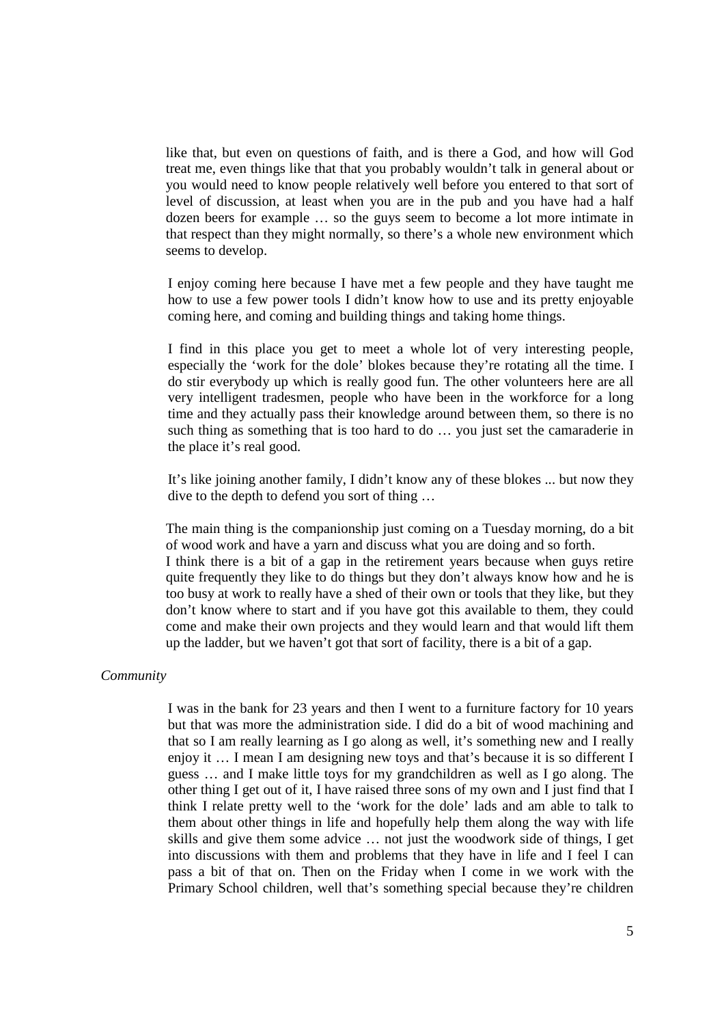like that, but even on questions of faith, and is there a God, and how will God treat me, even things like that that you probably wouldn't talk in general about or you would need to know people relatively well before you entered to that sort of level of discussion, at least when you are in the pub and you have had a half dozen beers for example … so the guys seem to become a lot more intimate in that respect than they might normally, so there's a whole new environment which seems to develop.

 I enjoy coming here because I have met a few people and they have taught me how to use a few power tools I didn't know how to use and its pretty enjoyable coming here, and coming and building things and taking home things.

I find in this place you get to meet a whole lot of very interesting people, especially the 'work for the dole' blokes because they're rotating all the time. I do stir everybody up which is really good fun. The other volunteers here are all very intelligent tradesmen, people who have been in the workforce for a long time and they actually pass their knowledge around between them, so there is no such thing as something that is too hard to do … you just set the camaraderie in the place it's real good.

It's like joining another family, I didn't know any of these blokes ... but now they dive to the depth to defend you sort of thing …

The main thing is the companionship just coming on a Tuesday morning, do a bit of wood work and have a yarn and discuss what you are doing and so forth. I think there is a bit of a gap in the retirement years because when guys retire quite frequently they like to do things but they don't always know how and he is too busy at work to really have a shed of their own or tools that they like, but they don't know where to start and if you have got this available to them, they could come and make their own projects and they would learn and that would lift them up the ladder, but we haven't got that sort of facility, there is a bit of a gap.

#### *Community*

 I was in the bank for 23 years and then I went to a furniture factory for 10 years but that was more the administration side. I did do a bit of wood machining and that so I am really learning as I go along as well, it's something new and I really enjoy it … I mean I am designing new toys and that's because it is so different I guess … and I make little toys for my grandchildren as well as I go along. The other thing I get out of it, I have raised three sons of my own and I just find that I think I relate pretty well to the 'work for the dole' lads and am able to talk to them about other things in life and hopefully help them along the way with life skills and give them some advice … not just the woodwork side of things, I get into discussions with them and problems that they have in life and I feel I can pass a bit of that on. Then on the Friday when I come in we work with the Primary School children, well that's something special because they're children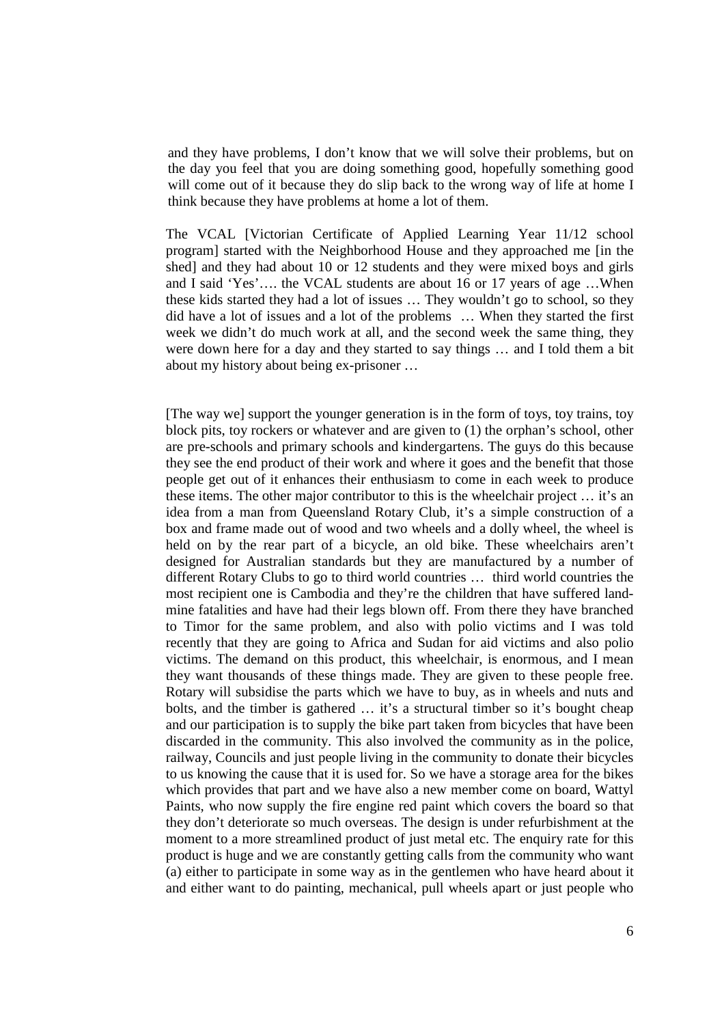and they have problems, I don't know that we will solve their problems, but on the day you feel that you are doing something good, hopefully something good will come out of it because they do slip back to the wrong way of life at home I think because they have problems at home a lot of them.

The VCAL [Victorian Certificate of Applied Learning Year 11/12 school program] started with the Neighborhood House and they approached me [in the shed] and they had about 10 or 12 students and they were mixed boys and girls and I said 'Yes'…. the VCAL students are about 16 or 17 years of age …When these kids started they had a lot of issues … They wouldn't go to school, so they did have a lot of issues and a lot of the problems … When they started the first week we didn't do much work at all, and the second week the same thing, they were down here for a day and they started to say things … and I told them a bit about my history about being ex-prisoner …

[The way we] support the younger generation is in the form of toys, toy trains, toy block pits, toy rockers or whatever and are given to (1) the orphan's school, other are pre-schools and primary schools and kindergartens. The guys do this because they see the end product of their work and where it goes and the benefit that those people get out of it enhances their enthusiasm to come in each week to produce these items. The other major contributor to this is the wheelchair project … it's an idea from a man from Queensland Rotary Club, it's a simple construction of a box and frame made out of wood and two wheels and a dolly wheel, the wheel is held on by the rear part of a bicycle, an old bike. These wheelchairs aren't designed for Australian standards but they are manufactured by a number of different Rotary Clubs to go to third world countries … third world countries the most recipient one is Cambodia and they're the children that have suffered landmine fatalities and have had their legs blown off. From there they have branched to Timor for the same problem, and also with polio victims and I was told recently that they are going to Africa and Sudan for aid victims and also polio victims. The demand on this product, this wheelchair, is enormous, and I mean they want thousands of these things made. They are given to these people free. Rotary will subsidise the parts which we have to buy, as in wheels and nuts and bolts, and the timber is gathered … it's a structural timber so it's bought cheap and our participation is to supply the bike part taken from bicycles that have been discarded in the community. This also involved the community as in the police, railway, Councils and just people living in the community to donate their bicycles to us knowing the cause that it is used for. So we have a storage area for the bikes which provides that part and we have also a new member come on board, Wattyl Paints, who now supply the fire engine red paint which covers the board so that they don't deteriorate so much overseas. The design is under refurbishment at the moment to a more streamlined product of just metal etc. The enquiry rate for this product is huge and we are constantly getting calls from the community who want (a) either to participate in some way as in the gentlemen who have heard about it and either want to do painting, mechanical, pull wheels apart or just people who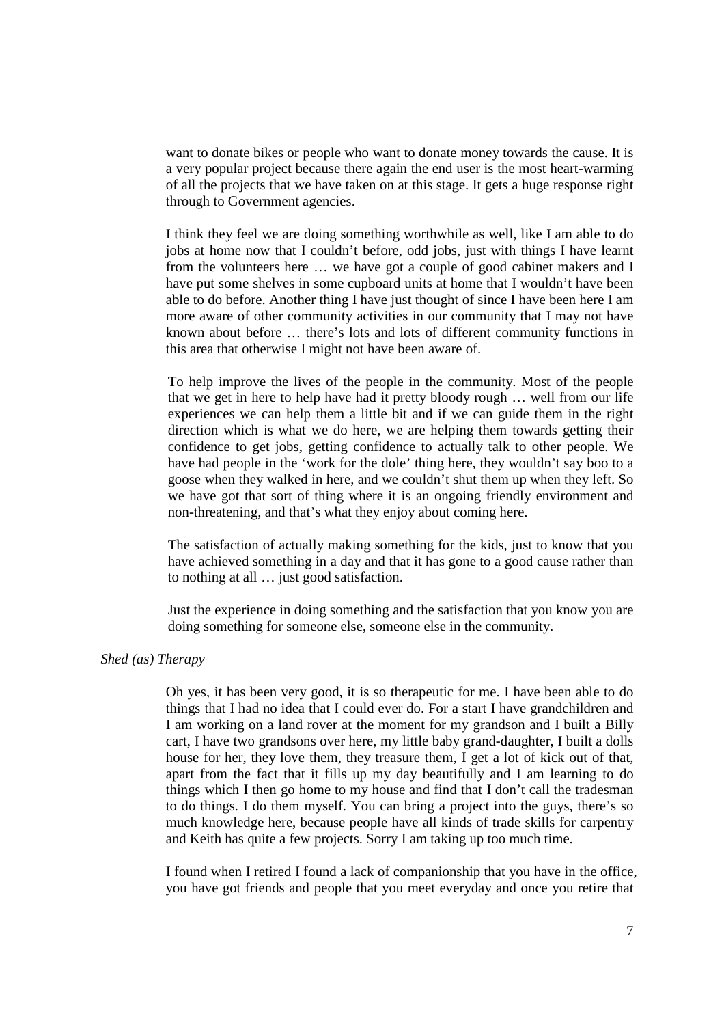want to donate bikes or people who want to donate money towards the cause. It is a very popular project because there again the end user is the most heart-warming of all the projects that we have taken on at this stage. It gets a huge response right through to Government agencies.

I think they feel we are doing something worthwhile as well, like I am able to do jobs at home now that I couldn't before, odd jobs, just with things I have learnt from the volunteers here … we have got a couple of good cabinet makers and I have put some shelves in some cupboard units at home that I wouldn't have been able to do before. Another thing I have just thought of since I have been here I am more aware of other community activities in our community that I may not have known about before … there's lots and lots of different community functions in this area that otherwise I might not have been aware of.

 To help improve the lives of the people in the community. Most of the people that we get in here to help have had it pretty bloody rough … well from our life experiences we can help them a little bit and if we can guide them in the right direction which is what we do here, we are helping them towards getting their confidence to get jobs, getting confidence to actually talk to other people. We have had people in the 'work for the dole' thing here, they wouldn't say boo to a goose when they walked in here, and we couldn't shut them up when they left. So we have got that sort of thing where it is an ongoing friendly environment and non-threatening, and that's what they enjoy about coming here.

The satisfaction of actually making something for the kids, just to know that you have achieved something in a day and that it has gone to a good cause rather than to nothing at all … just good satisfaction.

Just the experience in doing something and the satisfaction that you know you are doing something for someone else, someone else in the community.

# *Shed (as) Therapy*

Oh yes, it has been very good, it is so therapeutic for me. I have been able to do things that I had no idea that I could ever do. For a start I have grandchildren and I am working on a land rover at the moment for my grandson and I built a Billy cart, I have two grandsons over here, my little baby grand-daughter, I built a dolls house for her, they love them, they treasure them, I get a lot of kick out of that, apart from the fact that it fills up my day beautifully and I am learning to do things which I then go home to my house and find that I don't call the tradesman to do things. I do them myself. You can bring a project into the guys, there's so much knowledge here, because people have all kinds of trade skills for carpentry and Keith has quite a few projects. Sorry I am taking up too much time.

I found when I retired I found a lack of companionship that you have in the office, you have got friends and people that you meet everyday and once you retire that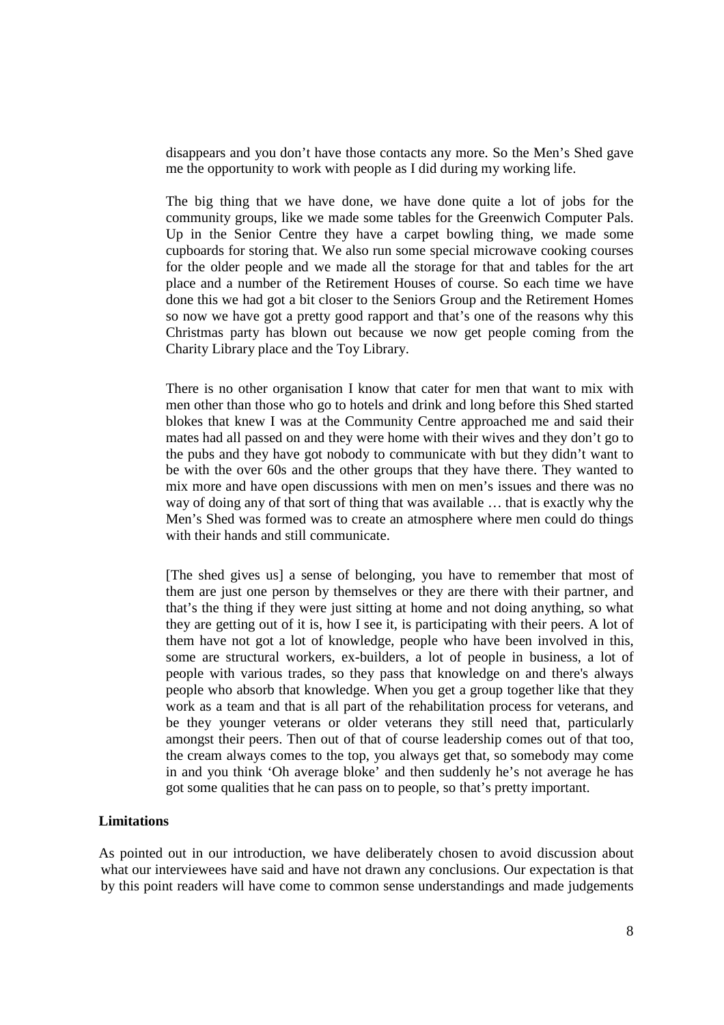disappears and you don't have those contacts any more. So the Men's Shed gave me the opportunity to work with people as I did during my working life.

The big thing that we have done, we have done quite a lot of jobs for the community groups, like we made some tables for the Greenwich Computer Pals. Up in the Senior Centre they have a carpet bowling thing, we made some cupboards for storing that. We also run some special microwave cooking courses for the older people and we made all the storage for that and tables for the art place and a number of the Retirement Houses of course. So each time we have done this we had got a bit closer to the Seniors Group and the Retirement Homes so now we have got a pretty good rapport and that's one of the reasons why this Christmas party has blown out because we now get people coming from the Charity Library place and the Toy Library.

There is no other organisation I know that cater for men that want to mix with men other than those who go to hotels and drink and long before this Shed started blokes that knew I was at the Community Centre approached me and said their mates had all passed on and they were home with their wives and they don't go to the pubs and they have got nobody to communicate with but they didn't want to be with the over 60s and the other groups that they have there. They wanted to mix more and have open discussions with men on men's issues and there was no way of doing any of that sort of thing that was available … that is exactly why the Men's Shed was formed was to create an atmosphere where men could do things with their hands and still communicate.

[The shed gives us] a sense of belonging, you have to remember that most of them are just one person by themselves or they are there with their partner, and that's the thing if they were just sitting at home and not doing anything, so what they are getting out of it is, how I see it, is participating with their peers. A lot of them have not got a lot of knowledge, people who have been involved in this, some are structural workers, ex-builders, a lot of people in business, a lot of people with various trades, so they pass that knowledge on and there's always people who absorb that knowledge. When you get a group together like that they work as a team and that is all part of the rehabilitation process for veterans, and be they younger veterans or older veterans they still need that, particularly amongst their peers. Then out of that of course leadership comes out of that too, the cream always comes to the top, you always get that, so somebody may come in and you think 'Oh average bloke' and then suddenly he's not average he has got some qualities that he can pass on to people, so that's pretty important.

# **Limitations**

As pointed out in our introduction, we have deliberately chosen to avoid discussion about what our interviewees have said and have not drawn any conclusions. Our expectation is that by this point readers will have come to common sense understandings and made judgements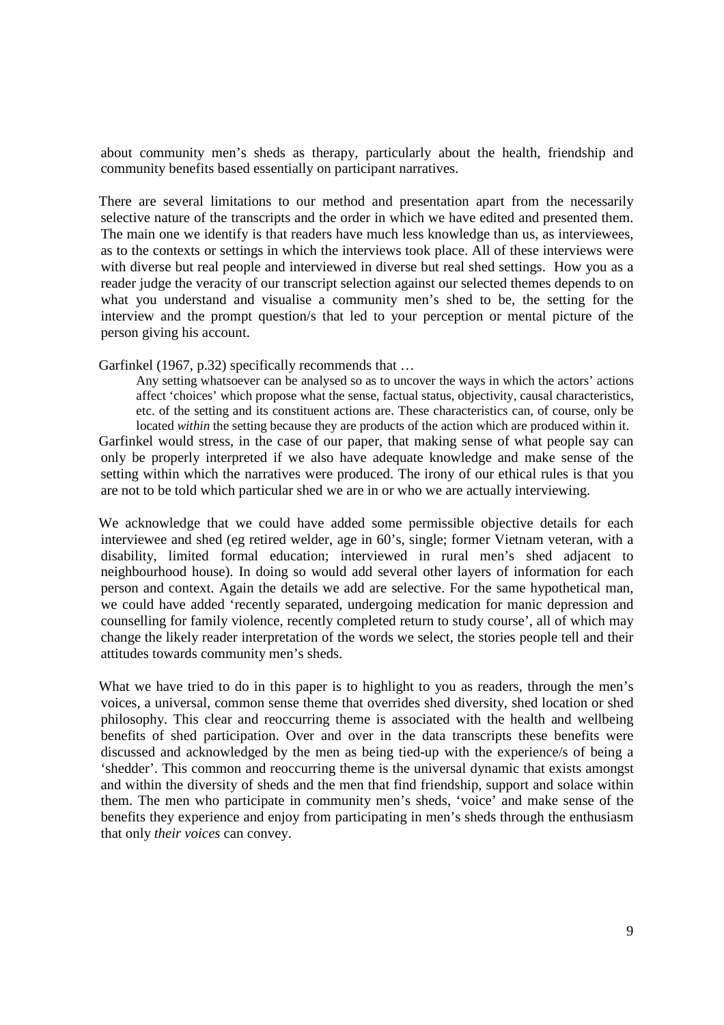about community men's sheds as therapy, particularly about the health, friendship and community benefits based essentially on participant narratives.

There are several limitations to our method and presentation apart from the necessarily selective nature of the transcripts and the order in which we have edited and presented them. The main one we identify is that readers have much less knowledge than us, as interviewees, as to the contexts or settings in which the interviews took place. All of these interviews were with diverse but real people and interviewed in diverse but real shed settings. How you as a reader judge the veracity of our transcript selection against our selected themes depends to on what you understand and visualise a community men's shed to be, the setting for the interview and the prompt question/s that led to your perception or mental picture of the person giving his account.

Garfinkel (1967, p.32) specifically recommends that …

Any setting whatsoever can be analysed so as to uncover the ways in which the actors' actions affect 'choices' which propose what the sense, factual status, objectivity, causal characteristics, etc. of the setting and its constituent actions are. These characteristics can, of course, only be located *within* the setting because they are products of the action which are produced within it. Garfinkel would stress, in the case of our paper, that making sense of what people say can only be properly interpreted if we also have adequate knowledge and make sense of the setting within which the narratives were produced. The irony of our ethical rules is that you are not to be told which particular shed we are in or who we are actually interviewing.

We acknowledge that we could have added some permissible objective details for each interviewee and shed (eg retired welder, age in 60's, single; former Vietnam veteran, with a disability, limited formal education; interviewed in rural men's shed adjacent to neighbourhood house). In doing so would add several other layers of information for each person and context. Again the details we add are selective. For the same hypothetical man, we could have added 'recently separated, undergoing medication for manic depression and counselling for family violence, recently completed return to study course', all of which may change the likely reader interpretation of the words we select, the stories people tell and their attitudes towards community men's sheds.

What we have tried to do in this paper is to highlight to you as readers, through the men's voices, a universal, common sense theme that overrides shed diversity, shed location or shed philosophy. This clear and reoccurring theme is associated with the health and wellbeing benefits of shed participation. Over and over in the data transcripts these benefits were discussed and acknowledged by the men as being tied-up with the experience/s of being a 'shedder'. This common and reoccurring theme is the universal dynamic that exists amongst and within the diversity of sheds and the men that find friendship, support and solace within them. The men who participate in community men's sheds, 'voice' and make sense of the benefits they experience and enjoy from participating in men's sheds through the enthusiasm that only *their voices* can convey.